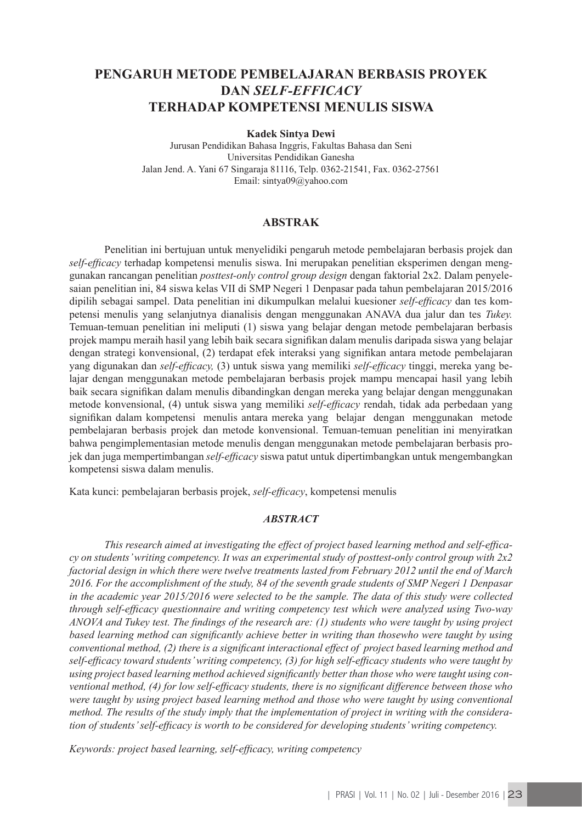# **PENGARUH METODE PEMBELAJARAN BERBASIS PROYEK DAN** *SELF-EFFICACY* **TERHADAP KOMPETENSI MENULIS SISWA**

**Kadek Sintya Dewi**

Jurusan Pendidikan Bahasa Inggris, Fakultas Bahasa dan Seni Universitas Pendidikan Ganesha Jalan Jend. A. Yani 67 Singaraja 81116, Telp. 0362-21541, Fax. 0362-27561 Email: sintya09@yahoo.com

# **ABSTRAK**

Penelitian ini bertujuan untuk menyelidiki pengaruh metode pembelajaran berbasis projek dan *self-efficacy* terhadap kompetensi menulis siswa. Ini merupakan penelitian eksperimen dengan menggunakan rancangan penelitian *posttest-only control group design* dengan faktorial 2x2. Dalam penyelesaian penelitian ini, 84 siswa kelas VII di SMP Negeri 1 Denpasar pada tahun pembelajaran 2015/2016 dipilih sebagai sampel. Data penelitian ini dikumpulkan melalui kuesioner *self-efficacy* dan tes kompetensi menulis yang selanjutnya dianalisis dengan menggunakan ANAVA dua jalur dan tes *Tukey.*  Temuan-temuan penelitian ini meliputi (1) siswa yang belajar dengan metode pembelajaran berbasis projek mampu meraih hasil yang lebih baik secara signifikan dalam menulis daripada siswa yang belajar dengan strategi konvensional, (2) terdapat efek interaksi yang signifikan antara metode pembelajaran yang digunakan dan *self-efficacy,* (3) untuk siswa yang memiliki *self-efficacy* tinggi, mereka yang belajar dengan menggunakan metode pembelajaran berbasis projek mampu mencapai hasil yang lebih baik secara signifikan dalam menulis dibandingkan dengan mereka yang belajar dengan menggunakan metode konvensional, (4) untuk siswa yang memiliki *self-efficacy* rendah, tidak ada perbedaan yang signifikan dalam kompetensi menulis antara mereka yang belajar dengan menggunakan metode pembelajaran berbasis projek dan metode konvensional. Temuan-temuan penelitian ini menyiratkan bahwa pengimplementasian metode menulis dengan menggunakan metode pembelajaran berbasis projek dan juga mempertimbangan *self-efficacy* siswa patut untuk dipertimbangkan untuk mengembangkan kompetensi siswa dalam menulis.

Kata kunci: pembelajaran berbasis projek, *self-efficacy*, kompetensi menulis

# *ABSTRACT*

*This research aimed at investigating the effect of project based learning method and self-efficacy on students' writing competency. It was an experimental study of posttest-only control group with 2x2 factorial design in which there were twelve treatments lasted from February 2012 until the end of March 2016. For the accomplishment of the study, 84 of the seventh grade students of SMP Negeri 1 Denpasar in the academic year 2015/2016 were selected to be the sample. The data of this study were collected through self-efficacy questionnaire and writing competency test which were analyzed using Two-way ANOVA and Tukey test. The findings of the research are: (1) students who were taught by using project based learning method can significantly achieve better in writing than thosewho were taught by using conventional method, (2) there is a significant interactional effect of project based learning method and self-efficacy toward students' writing competency, (3) for high self-efficacy students who were taught by using project based learning method achieved significantly better than those who were taught using conventional method, (4) for low self-efficacy students, there is no significant difference between those who were taught by using project based learning method and those who were taught by using conventional method. The results of the study imply that the implementation of project in writing with the consideration of students' self-efficacy is worth to be considered for developing students' writing competency.*

*Keywords: project based learning, self-efficacy, writing competency*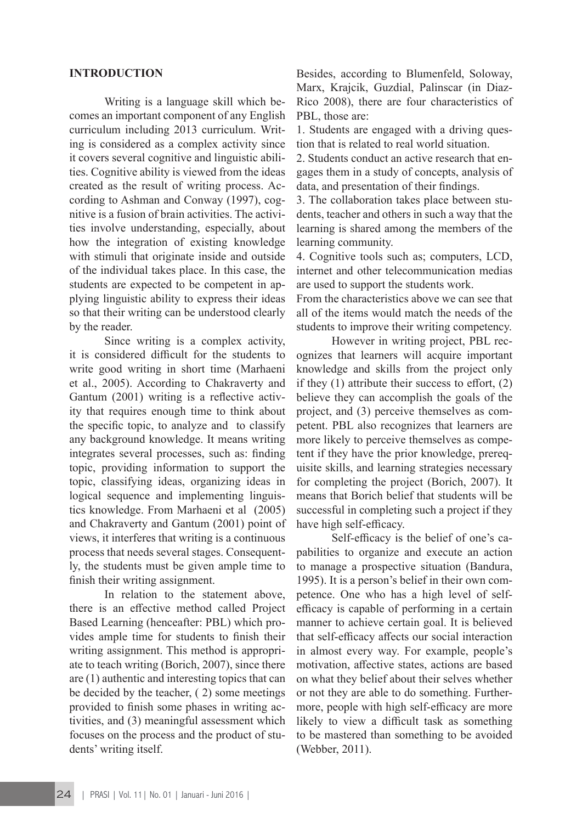## **INTRODUCTION**

Writing is a language skill which becomes an important component of any English curriculum including 2013 curriculum. Writing is considered as a complex activity since it covers several cognitive and linguistic abilities. Cognitive ability is viewed from the ideas created as the result of writing process. According to Ashman and Conway (1997), cognitive is a fusion of brain activities. The activities involve understanding, especially, about how the integration of existing knowledge with stimuli that originate inside and outside of the individual takes place. In this case, the students are expected to be competent in applying linguistic ability to express their ideas so that their writing can be understood clearly by the reader.

Since writing is a complex activity, it is considered difficult for the students to write good writing in short time (Marhaeni et al., 2005). According to Chakraverty and Gantum (2001) writing is a reflective activity that requires enough time to think about the specific topic, to analyze and to classify any background knowledge. It means writing integrates several processes, such as: finding topic, providing information to support the topic, classifying ideas, organizing ideas in logical sequence and implementing linguistics knowledge. From Marhaeni et al (2005) and Chakraverty and Gantum (2001) point of views, it interferes that writing is a continuous process that needs several stages. Consequently, the students must be given ample time to finish their writing assignment.

In relation to the statement above, there is an effective method called Project Based Learning (henceafter: PBL) which provides ample time for students to finish their writing assignment. This method is appropriate to teach writing (Borich, 2007), since there are (1) authentic and interesting topics that can be decided by the teacher, ( 2) some meetings provided to finish some phases in writing activities, and (3) meaningful assessment which focuses on the process and the product of students' writing itself.

Besides, according to Blumenfeld, Soloway, Marx, Krajcik, Guzdial, Palinscar (in Diaz-Rico 2008), there are four characteristics of PBL, those are:

1. Students are engaged with a driving question that is related to real world situation.

2. Students conduct an active research that engages them in a study of concepts, analysis of data, and presentation of their findings.

3. The collaboration takes place between students, teacher and others in such a way that the learning is shared among the members of the learning community.

4. Cognitive tools such as; computers, LCD, internet and other telecommunication medias are used to support the students work.

From the characteristics above we can see that all of the items would match the needs of the students to improve their writing competency.

However in writing project, PBL recognizes that learners will acquire important knowledge and skills from the project only if they (1) attribute their success to effort, (2) believe they can accomplish the goals of the project, and (3) perceive themselves as competent. PBL also recognizes that learners are more likely to perceive themselves as competent if they have the prior knowledge, prerequisite skills, and learning strategies necessary for completing the project (Borich, 2007). It means that Borich belief that students will be successful in completing such a project if they have high self-efficacy.

Self-efficacy is the belief of one's capabilities to organize and execute an action to manage a prospective situation (Bandura, 1995). It is a person's belief in their own competence. One who has a high level of selfefficacy is capable of performing in a certain manner to achieve certain goal. It is believed that self-efficacy affects our social interaction in almost every way. For example, people's motivation, affective states, actions are based on what they belief about their selves whether or not they are able to do something. Furthermore, people with high self-efficacy are more likely to view a difficult task as something to be mastered than something to be avoided (Webber, 2011).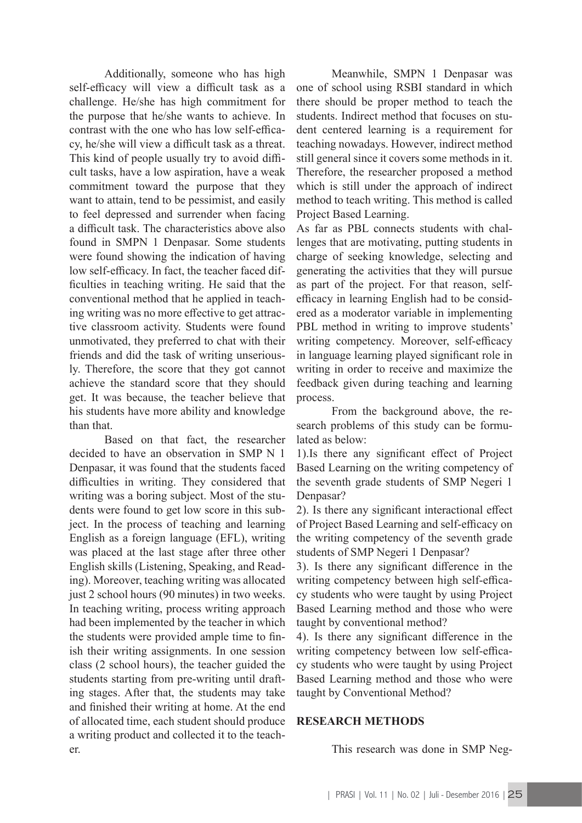Additionally, someone who has high self-efficacy will view a difficult task as a challenge. He/she has high commitment for the purpose that he/she wants to achieve. In contrast with the one who has low self-efficacy, he/she will view a difficult task as a threat. This kind of people usually try to avoid difficult tasks, have a low aspiration, have a weak commitment toward the purpose that they want to attain, tend to be pessimist, and easily to feel depressed and surrender when facing a difficult task. The characteristics above also found in SMPN 1 Denpasar. Some students were found showing the indication of having low self-efficacy. In fact, the teacher faced difficulties in teaching writing. He said that the conventional method that he applied in teaching writing was no more effective to get attractive classroom activity. Students were found unmotivated, they preferred to chat with their friends and did the task of writing unseriously. Therefore, the score that they got cannot achieve the standard score that they should get. It was because, the teacher believe that his students have more ability and knowledge than that.

Based on that fact, the researcher decided to have an observation in SMP N 1 Denpasar, it was found that the students faced difficulties in writing. They considered that writing was a boring subject. Most of the students were found to get low score in this subject. In the process of teaching and learning English as a foreign language (EFL), writing was placed at the last stage after three other English skills (Listening, Speaking, and Reading). Moreover, teaching writing was allocated just 2 school hours (90 minutes) in two weeks. In teaching writing, process writing approach had been implemented by the teacher in which the students were provided ample time to finish their writing assignments. In one session class (2 school hours), the teacher guided the students starting from pre-writing until drafting stages. After that, the students may take and finished their writing at home. At the end of allocated time, each student should produce a writing product and collected it to the teacher.

Meanwhile, SMPN 1 Denpasar was one of school using RSBI standard in which there should be proper method to teach the students. Indirect method that focuses on student centered learning is a requirement for teaching nowadays. However, indirect method still general since it covers some methods in it. Therefore, the researcher proposed a method which is still under the approach of indirect method to teach writing. This method is called Project Based Learning.

As far as PBL connects students with challenges that are motivating, putting students in charge of seeking knowledge, selecting and generating the activities that they will pursue as part of the project. For that reason, selfefficacy in learning English had to be considered as a moderator variable in implementing PBL method in writing to improve students' writing competency. Moreover, self-efficacy in language learning played significant role in writing in order to receive and maximize the feedback given during teaching and learning process.

From the background above, the research problems of this study can be formulated as below:

1).Is there any significant effect of Project Based Learning on the writing competency of the seventh grade students of SMP Negeri 1 Denpasar?

2). Is there any significant interactional effect of Project Based Learning and self-efficacy on the writing competency of the seventh grade students of SMP Negeri 1 Denpasar?

3). Is there any significant difference in the writing competency between high self-efficacy students who were taught by using Project Based Learning method and those who were taught by conventional method?

4). Is there any significant difference in the writing competency between low self-efficacy students who were taught by using Project Based Learning method and those who were taught by Conventional Method?

## **RESEARCH METHODS**

This research was done in SMP Neg-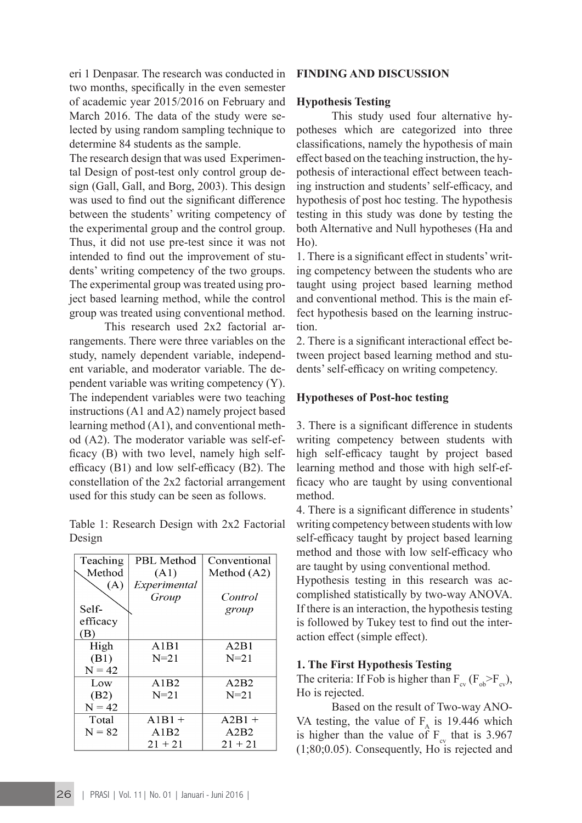eri 1 Denpasar. The research was conducted in two months, specifically in the even semester of academic year 2015/2016 on February and March 2016. The data of the study were selected by using random sampling technique to determine 84 students as the sample.

The research design that was used Experimental Design of post-test only control group design (Gall, Gall, and Borg, 2003). This design was used to find out the significant difference between the students' writing competency of the experimental group and the control group. Thus, it did not use pre-test since it was not intended to find out the improvement of students' writing competency of the two groups. The experimental group was treated using project based learning method, while the control group was treated using conventional method.

This research used 2x2 factorial arrangements. There were three variables on the study, namely dependent variable, independent variable, and moderator variable. The dependent variable was writing competency (Y). The independent variables were two teaching instructions (A1 and A2) namely project based learning method (A1), and conventional method (A2). The moderator variable was self-efficacy (B) with two level, namely high selfefficacy (B1) and low self-efficacy (B2). The constellation of the 2x2 factorial arrangement used for this study can be seen as follows.

Table 1: Research Design with 2x2 Factorial Design

|          |                   | Conventional |  |
|----------|-------------------|--------------|--|
| Teaching | <b>PBL</b> Method |              |  |
| Method   | (A1)              | Method (A2)  |  |
| (A)      | Experimental      |              |  |
|          | Group             | Control      |  |
| Self-    |                   | group        |  |
| efficacy |                   |              |  |
| (B)      |                   |              |  |
| High     | A1B1              | A2B1         |  |
| (B1)     | $N = 21$          | $N = 21$     |  |
| $N = 42$ |                   |              |  |
| Low      | A1B2              | A2B2         |  |
| (B2)     | $N=21$            | $N = 21$     |  |
| $N = 42$ |                   |              |  |
| Total    | $A1B1 +$          | $A2B1 +$     |  |
| $N = 82$ | A1B2              | A2B2         |  |
|          | $21 + 21$         | $21 + 21$    |  |

# **FINDING AND DISCUSSION**

### **Hypothesis Testing**

This study used four alternative hypotheses which are categorized into three classifications, namely the hypothesis of main effect based on the teaching instruction, the hypothesis of interactional effect between teaching instruction and students' self-efficacy, and hypothesis of post hoc testing. The hypothesis testing in this study was done by testing the both Alternative and Null hypotheses (Ha and Ho).

1. There is a significant effect in students' writing competency between the students who are taught using project based learning method and conventional method. This is the main effect hypothesis based on the learning instruction.

2. There is a significant interactional effect between project based learning method and students' self-efficacy on writing competency.

#### **Hypotheses of Post-hoc testing**

3. There is a significant difference in students writing competency between students with high self-efficacy taught by project based learning method and those with high self-efficacy who are taught by using conventional method.

4. There is a significant difference in students' writing competency between students with low self-efficacy taught by project based learning method and those with low self-efficacy who are taught by using conventional method.

Hypothesis testing in this research was accomplished statistically by two-way ANOVA. If there is an interaction, the hypothesis testing is followed by Tukey test to find out the interaction effect (simple effect).

#### **1. The First Hypothesis Testing**

The criteria: If Fob is higher than  $F_{\alpha\nu}$  ( $F_{\alpha\nu}$ ), Ho is rejected.

Based on the result of Two-way ANO-VA testing, the value of  $F_A$  is 19.446 which is higher than the value of  $F_{cy}$  that is 3.967 (1;80;0.05). Consequently, Ho is rejected and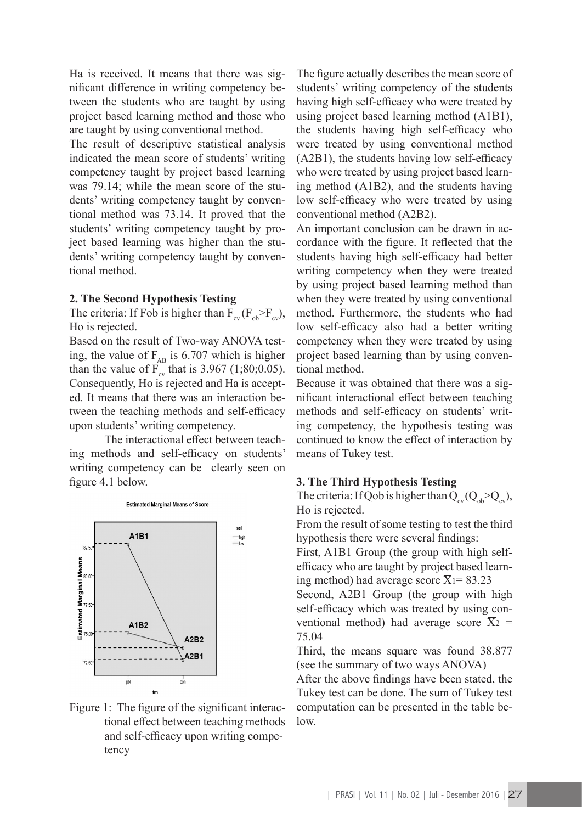Ha is received. It means that there was significant difference in writing competency between the students who are taught by using project based learning method and those who are taught by using conventional method.

The result of descriptive statistical analysis indicated the mean score of students' writing competency taught by project based learning was 79.14; while the mean score of the students' writing competency taught by conventional method was 73.14. It proved that the students' writing competency taught by project based learning was higher than the students' writing competency taught by conventional method.

## **2. The Second Hypothesis Testing**

The criteria: If Fob is higher than  $F_{cv}$  ( $F_{ob} > F_{cv}$ ), Ho is rejected.

Based on the result of Two-way ANOVA testing, the value of  $F_{AB}$  is 6.707 which is higher than the value of  $\overline{F}_{cy}$  that is 3.967 (1;80;0.05). Consequently, Ho is rejected and Ha is accepted. It means that there was an interaction between the teaching methods and self-efficacy upon students' writing competency.

The interactional effect between teaching methods and self-efficacy on students' writing competency can be clearly seen on figure 4.1 below.





The figure actually describes the mean score of students' writing competency of the students having high self-efficacy who were treated by using project based learning method (A1B1), the students having high self-efficacy who were treated by using conventional method (A2B1), the students having low self-efficacy who were treated by using project based learning method (A1B2), and the students having low self-efficacy who were treated by using conventional method (A2B2).

An important conclusion can be drawn in accordance with the figure. It reflected that the students having high self-efficacy had better writing competency when they were treated by using project based learning method than when they were treated by using conventional method. Furthermore, the students who had low self-efficacy also had a better writing competency when they were treated by using project based learning than by using conventional method.

Because it was obtained that there was a significant interactional effect between teaching methods and self-efficacy on students' writing competency, the hypothesis testing was continued to know the effect of interaction by means of Tukey test.

# **3. The Third Hypothesis Testing**

The criteria: If Qob is higher than  $Q_{\alpha} (Q_{\alpha} > Q_{\alpha\nu})$ , Ho is rejected.

From the result of some testing to test the third hypothesis there were several findings:

First, A1B1 Group (the group with high selfefficacy who are taught by project based learning method) had average score  $\overline{X}_1$ = 83.23

Second, A2B1 Group (the group with high self-efficacy which was treated by using conventional method) had average score  $\overline{X}_2$  = 75.04

Third, the means square was found 38.877 (see the summary of two ways ANOVA)

After the above findings have been stated, the Tukey test can be done. The sum of Tukey test computation can be presented in the table below.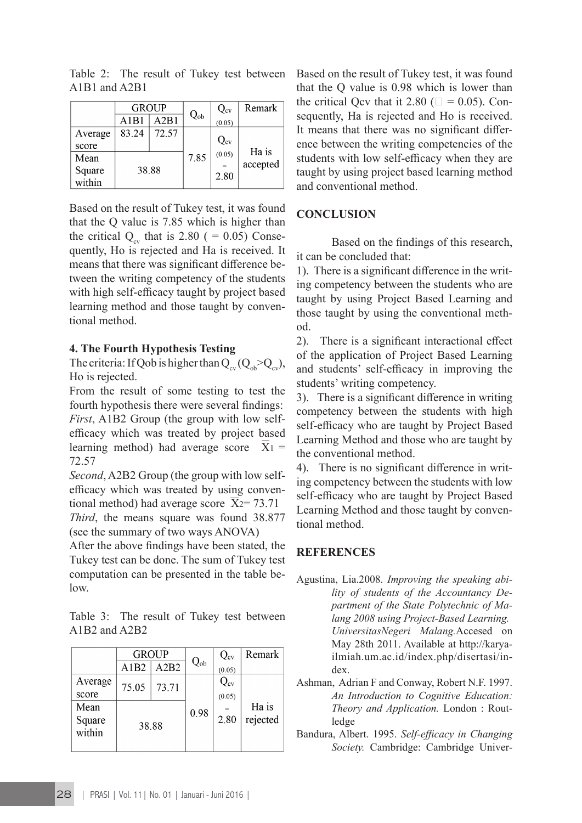|         | <b>GROUP</b> |       |          | $Q_{\rm cv}$ | Remark   |
|---------|--------------|-------|----------|--------------|----------|
|         | A1B1         | A2B1  | $Q_{ob}$ | (0.05)       |          |
| Average | 83.24        | 72.57 |          |              |          |
| score   |              |       |          | $Q_{\rm cv}$ | Ha is    |
| Mean    | 38.88        |       | 7.85     | (0.05)       | accepted |
| Square  |              |       |          | 2.80         |          |
| within  |              |       |          |              |          |

Table 2: The result of Tukey test between A1B1 and A2B1

Based on the result of Tukey test, it was found that the Q value is 7.85 which is higher than the critical  $Q_{av}$  that is 2.80 ( = 0.05) Consequently, Ho is rejected and Ha is received. It means that there was significant difference between the writing competency of the students with high self-efficacy taught by project based learning method and those taught by conventional method.

## **4. The Fourth Hypothesis Testing**

The criteria: If Qob is higher than  $Q_{\alpha}$  ( $Q_{\alpha}$  >Q<sub>cv</sub>), Ho is rejected.

From the result of some testing to test the fourth hypothesis there were several findings: *First*, A1B2 Group (the group with low selfefficacy which was treated by project based learning method) had average score  $X_1 =$ 72.57

*Second*, A2B2 Group (the group with low selfefficacy which was treated by using conventional method) had average score  $\bar{X}_2$ = 73.71

*Third*, the means square was found 38.877 (see the summary of two ways ANOVA)

After the above findings have been stated, the Tukey test can be done. The sum of Tukey test computation can be presented in the table below.

Table 3: The result of Tukey test between A1B2 and A2B2

|         | <b>GROUP</b> |       |          | $Q_{\rm cv}$      | Remark   |
|---------|--------------|-------|----------|-------------------|----------|
|         | A1B2         | A2B2  | $Q_{ob}$ | (0.05)            |          |
| Average | 75.05        | 73.71 |          | $\mathrm{Q_{cv}}$ |          |
| score   |              |       |          | (0.05)            |          |
| Mean    | 38.88        |       | 0.98     |                   | Ha is    |
| Square  |              |       |          | 2.80              | rejected |
| within  |              |       |          |                   |          |
|         |              |       |          |                   |          |

Based on the result of Tukey test, it was found that the Q value is 0.98 which is lower than the critical Qcv that it 2.80 ( $\Box = 0.05$ ). Consequently, Ha is rejected and Ho is received. It means that there was no significant difference between the writing competencies of the students with low self-efficacy when they are taught by using project based learning method and conventional method.

# **CONCLUSION**

Based on the findings of this research, it can be concluded that:

1). There is a significant difference in the writing competency between the students who are taught by using Project Based Learning and those taught by using the conventional method.

2). There is a significant interactional effect of the application of Project Based Learning and students' self-efficacy in improving the students' writing competency.

3). There is a significant difference in writing competency between the students with high self-efficacy who are taught by Project Based Learning Method and those who are taught by the conventional method.

4). There is no significant difference in writing competency between the students with low self-efficacy who are taught by Project Based Learning Method and those taught by conventional method.

# **REFERENCES**

- Agustina, Lia.2008. *Improving the speaking ability of students of the Accountancy Department of the State Polytechnic of Malang 2008 using Project-Based Learning. UniversitasNegeri Malang.*Accesed on May 28th 2011. Available at http://karyailmiah.um.ac.id/index.php/disertasi/index.
- Ashman, Adrian F and Conway, Robert N.F. 1997. *An Introduction to Cognitive Education: Theory and Application.* London : Routledge
- Bandura, Albert. 1995. *Self-efficacy in Changing Society.* Cambridge: Cambridge Univer-